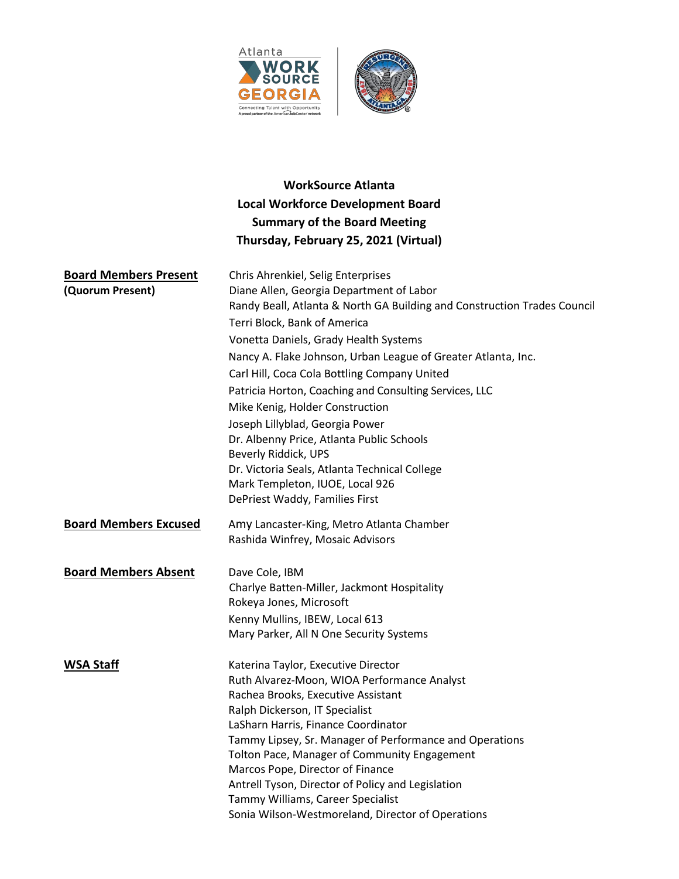



# **WorkSource Atlanta Local Workforce Development Board Summary of the Board Meeting Thursday, February 25, 2021 (Virtual)**

| <b>Board Members Present</b> | Chris Ahrenkiel, Selig Enterprises                                                     |
|------------------------------|----------------------------------------------------------------------------------------|
| (Quorum Present)             | Diane Allen, Georgia Department of Labor                                               |
|                              | Randy Beall, Atlanta & North GA Building and Construction Trades Council               |
|                              | Terri Block, Bank of America                                                           |
|                              | Vonetta Daniels, Grady Health Systems                                                  |
|                              | Nancy A. Flake Johnson, Urban League of Greater Atlanta, Inc.                          |
|                              | Carl Hill, Coca Cola Bottling Company United                                           |
|                              | Patricia Horton, Coaching and Consulting Services, LLC                                 |
|                              | Mike Kenig, Holder Construction                                                        |
|                              | Joseph Lillyblad, Georgia Power                                                        |
|                              | Dr. Albenny Price, Atlanta Public Schools                                              |
|                              | Beverly Riddick, UPS                                                                   |
|                              | Dr. Victoria Seals, Atlanta Technical College                                          |
|                              | Mark Templeton, IUOE, Local 926                                                        |
|                              | DePriest Waddy, Families First                                                         |
| <b>Board Members Excused</b> | Amy Lancaster-King, Metro Atlanta Chamber                                              |
|                              | Rashida Winfrey, Mosaic Advisors                                                       |
| <b>Board Members Absent</b>  | Dave Cole, IBM                                                                         |
|                              | Charlye Batten-Miller, Jackmont Hospitality                                            |
|                              | Rokeya Jones, Microsoft                                                                |
|                              | Kenny Mullins, IBEW, Local 613                                                         |
|                              | Mary Parker, All N One Security Systems                                                |
| <b>WSA Staff</b>             | Katerina Taylor, Executive Director                                                    |
|                              | Ruth Alvarez-Moon, WIOA Performance Analyst                                            |
|                              | Rachea Brooks, Executive Assistant                                                     |
|                              | Ralph Dickerson, IT Specialist                                                         |
|                              | LaSharn Harris, Finance Coordinator                                                    |
|                              | Tammy Lipsey, Sr. Manager of Performance and Operations                                |
|                              | Tolton Pace, Manager of Community Engagement                                           |
|                              | Marcos Pope, Director of Finance                                                       |
|                              | Antrell Tyson, Director of Policy and Legislation<br>Tammy Williams, Career Specialist |
|                              | Sonia Wilson-Westmoreland, Director of Operations                                      |
|                              |                                                                                        |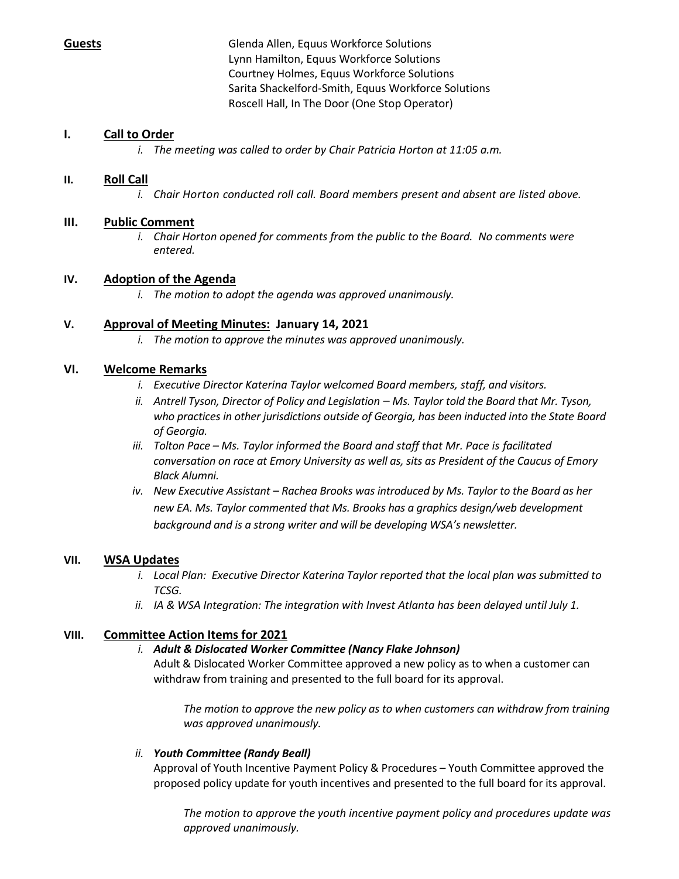**Guests** Glenda Allen, Equus Workforce Solutions Lynn Hamilton, Equus Workforce Solutions Courtney Holmes, Equus Workforce Solutions Sarita Shackelford-Smith, Equus Workforce Solutions Roscell Hall, In The Door (One Stop Operator)

## **I. Call to Order**

*i. The meeting was called to order by Chair Patricia Horton at 11:05 a.m.*

## **II. Roll Call**

*i. Chair Horton conducted roll call. Board members present and absent are listed above.*

## **III. Public Comment**

*i. Chair Horton opened for comments from the public to the Board. No comments were entered.*

## **IV. Adoption of the Agenda**

*i. The motion to adopt the agenda was approved unanimously.*

## **V. Approval of Meeting Minutes: January 14, 2021**

*i. The motion to approve the minutes was approved unanimously.*

## **VI. Welcome Remarks**

- *i. Executive Director Katerina Taylor welcomed Board members, staff, and visitors.*
- *ii. Antrell Tyson, Director of Policy and Legislation – Ms. Taylor told the Board that Mr. Tyson, who practices in other jurisdictions outside of Georgia, has been inducted into the State Board of Georgia.*
- *iii. Tolton Pace – Ms. Taylor informed the Board and staff that Mr. Pace is facilitated conversation on race at Emory University as well as, sits as President of the Caucus of Emory Black Alumni.*
- *iv. New Executive Assistant – Rachea Brooks was introduced by Ms. Taylor to the Board as her new EA. Ms. Taylor commented that Ms. Brooks has a graphics design/web development background and is a strong writer and will be developing WSA's newsletter.*

## **VII. WSA Updates**

- *i. Local Plan: Executive Director Katerina Taylor reported that the local plan was submitted to TCSG.*
- *ii. IA & WSA Integration: The integration with Invest Atlanta has been delayed until July 1.*

## **VIII. Committee Action Items for 2021**

#### *i. Adult & Dislocated Worker Committee (Nancy Flake Johnson)*

Adult & Dislocated Worker Committee approved a new policy as to when a customer can withdraw from training and presented to the full board for its approval.

*The motion to approve the new policy as to when customers can withdraw from training was approved unanimously.*

#### *ii. Youth Committee (Randy Beall)*

Approval of Youth Incentive Payment Policy & Procedures – Youth Committee approved the proposed policy update for youth incentives and presented to the full board for its approval.

*The motion to approve the youth incentive payment policy and procedures update was approved unanimously.*